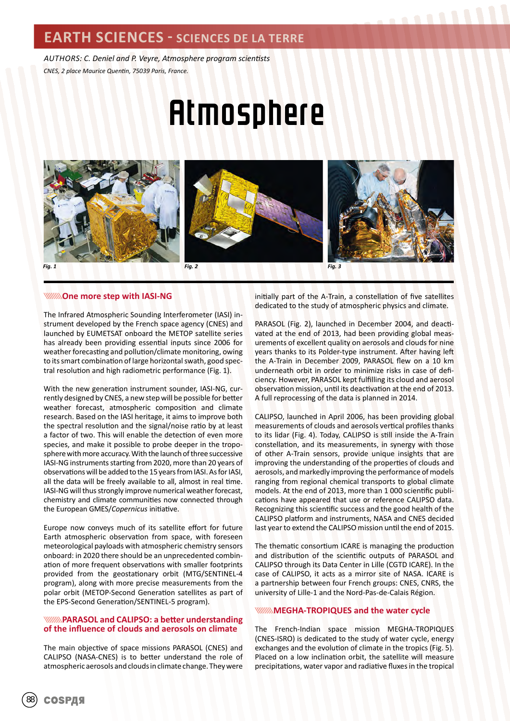### **EARTH SCIENCES - SCIENCES DE LA TERRE**

*AUTHORS: C. Deniel and P. Veyre, Atmosphere program scientists CNES, 2 place Maurice Quentin, 75039 Paris, France.*

# Atmosphere







**WINNING** One more step with IASI-NG

The Infrared Atmospheric Sounding Interferometer (IASI) instrument developed by the French space agency (CNES) and launched by EUMETSAT onboard the METOP satellite series has already been providing essential inputs since 2006 for weather forecasting and pollution/climate monitoring, owing to its smart combination of large horizontal swath, good spectral resolution and high radiometric performance (Fig. 1).

With the new generation instrument sounder, IASI-NG, currently designed by CNES, a new step will be possible for better weather forecast, atmospheric composition and climate research. Based on the IASI heritage, it aims to improve both the spectral resolution and the signal/noise ratio by at least a factor of two. This will enable the detection of even more species, and make it possible to probe deeper in the troposphere with more accuracy. With the launch of three successive IASI-NG instruments starting from 2020, more than 20 years of observations will be added to the 15 years from IASI. As for IASI, all the data will be freely available to all, almost in real time. IASI-NG will thus strongly improve numerical weather forecast, chemistry and climate communities now connected through the European GMES/*Copernicus* initiative.

Europe now conveys much of its satellite effort for future Earth atmospheric observation from space, with foreseen meteorological payloads with atmospheric chemistry sensors onboard: in 2020 there should be an unprecedented combination of more frequent observations with smaller footprints provided from the geostationary orbit (MTG/SENTINEL-4 program), along with more precise measurements from the polar orbit (METOP-Second Generation satellites as part of the EPS-Second Generation/SENTINEL-5 program).

#### **PARASOL and CALIPSO: a better understanding of the influence of clouds and aerosols on climate**

The main objective of space missions PARASOL (CNES) and CALIPSO (NASA-CNES) is to better understand the role of atmospheric aerosols and clouds in climate change. They were

initially part of the A-Train, a constellation of five satellites dedicated to the study of atmospheric physics and climate.

PARASOL (Fig. 2), launched in December 2004, and deactivated at the end of 2013, had been providing global measurements of excellent quality on aerosols and clouds for nine years thanks to its Polder-type instrument. After having left the A-Train in December 2009, PARASOL flew on a 10 km underneath orbit in order to minimize risks in case of deficiency. However, PARASOL kept fulfilling its cloud and aerosol observation mission, until its deactivation at the end of 2013. A full reprocessing of the data is planned in 2014.

CALIPSO, launched in April 2006, has been providing global measurements of clouds and aerosols vertical profiles thanks to its lidar (Fig. 4). Today, CALIPSO is still inside the A-Train constellation, and its measurements, in synergy with those of other A-Train sensors, provide unique insights that are improving the understanding of the properties of clouds and aerosols, and markedly improving the performance of models ranging from regional chemical transports to global climate models. At the end of 2013, more than 1 000 scientific publications have appeared that use or reference CALIPSO data. Recognizing this scientific success and the good health of the CALIPSO platform and instruments, NASA and CNES decided last year to extend the CALIPSO mission until the end of 2015.

The thematic consortium ICARE is managing the production and distribution of the scientific outputs of PARASOL and CALIPSO through its Data Center in Lille (CGTD ICARE). In the case of CALIPSO, it acts as a mirror site of NASA. ICARE is a partnership between four French groups: CNES, CNRS, the university of Lille-1 and the Nord-Pas-de-Calais Région.

#### **WINNINGHA-TROPIQUES and the water cycle**

The French-Indian space mission MEGHA-TROPIQUES (CNES-ISRO) is dedicated to the study of water cycle, energy exchanges and the evolution of climate in the tropics (Fig. 5). Placed on a low inclination orbit, the satellite will measure precipitations, water vapor and radiative fluxes in the tropical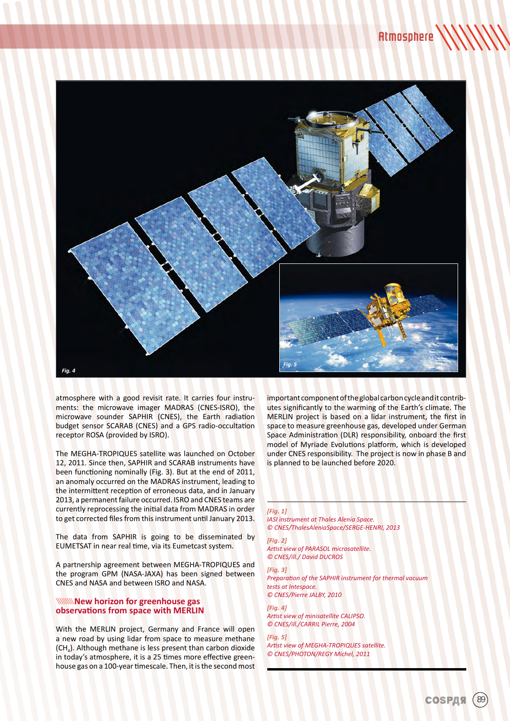

atmosphere with a good revisit rate. It carries four instruments: the microwave imager MADRAS (CNES-ISRO), the microwave sounder SAPHIR (CNES), the Earth radiation budget sensor SCARAB (CNES) and a GPS radio-occultation receptor ROSA (provided by ISRO).

The MEGHA-TROPIQUES satellite was launched on October 12, 2011. Since then, SAPHIR and SCARAB instruments have been functioning nominally (Fig. 3). But at the end of 2011, an anomaly occurred on the MADRAS instrument, leading to the intermittent reception of erroneous data, and in January 2013, a permanent failure occurred. ISRO and CNES teams are currently reprocessing the initial data from MADRAS in order to get corrected files from this instrument until January 2013.

The data from SAPHIR is going to be disseminated by EUMETSAT in near real time, via its Eumetcast system.

A partnership agreement between MEGHA-TROPIQUES and the program GPM (NASA-JAXA) has been signed between CNES and NASA and between ISRO and NASA.

#### *NAMA* **New horizon for greenhouse gas observations from space with MERLIN**

With the MERLIN project, Germany and France will open a new road by using lidar from space to measure methane (CH4). Although methane is less present than carbon dioxide in today's atmosphere, it is a 25 times more effective greenhouse gas on a 100-year timescale. Then, it is the second most important component of the global carbon cycle and it contributes significantly to the warming of the Earth's climate. The MERLIN project is based on a lidar instrument, the first in space to measure greenhouse gas, developed under German Space Administration (DLR) responsibility, onboard the first model of Myriade Evolutions platform, which is developed under CNES responsibility. The project is now in phase B and is planned to be launched before 2020.

#### *[Fig. 1]*

*IASI instrument at Thales Alenia Space. © CNES/ThalesAleniaSpace/SERGE-HENRI, 2013*

*[Fig. 2] Artist view of PARASOL microsatellite. © CNES/ill./ David DUCROS*

*[Fig. 3] Preparation of the SAPHIR instrument for thermal vacuum tests at Intespace. © CNES/Pierre JALBY, 2010*

*[Fig. 4] Artist view of minisatellite CALIPSO. © CNES/ill./CARRIL Pierre, 2004*

*[Fig. 5] Artist view of MEGHA-TROPIQUES satellite. © CNES/PHOTON/REGY Michel, 2011*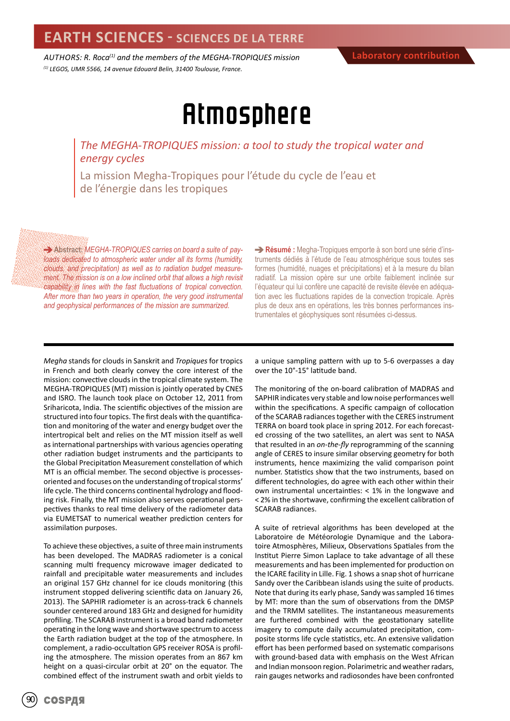*AUTHORS: R. Roca(1) and the members of the MEGHA-TROPIQUES mission (1) LEGOS, UMR 5566, 14 avenue Edouard Belin, 31400 Toulouse, France.*

## Atmosphere

*The MEGHA-TROPIQUES mission: a tool to study the tropical water and energy cycles*

La mission Megha-Tropiques pour l'étude du cycle de l'eau et de l'énergie dans les tropiques

**Abstract:** *MEGHA-TROPIQUES carries on board a suite of payloads dedicated to atmospheric water under all its forms (humidity, clouds, and precipitation) as well as to radiation budget measurement. The mission is on a low inclined orbit that allows a high revisit capability in lines with the fast fluctuations of tropical convection. After more than two years in operation, the very good instrumental and geophysical performances of the mission are summarized.*

**Résumé :** Megha-Tropiques emporte à son bord une série d'instruments dédiés à l'étude de l'eau atmosphérique sous toutes ses formes (humidité, nuages et précipitations) et à la mesure du bilan radiatif. La mission opère sur une orbite faiblement inclinée sur l'équateur qui lui confère une capacité de revisite élevée en adéquation avec les fluctuations rapides de la convection tropicale. Après plus de deux ans en opérations, les très bonnes performances instrumentales et géophysiques sont résumées ci-dessus.

*Megha* stands for clouds in Sanskrit and *Tropiques* for tropics in French and both clearly convey the core interest of the mission: convective clouds in the tropical climate system. The MEGHA-TROPIQUES (MT) mission is jointly operated by CNES and ISRO. The launch took place on October 12, 2011 from Sriharicota, India. The scientific objectives of the mission are structured into four topics. The first deals with the quantification and monitoring of the water and energy budget over the intertropical belt and relies on the MT mission itself as well as international partnerships with various agencies operating other radiation budget instruments and the participants to the Global Precipitation Measurement constellation of which MT is an official member. The second objective is processesoriented and focuses on the understanding of tropical storms' life cycle. The third concerns continental hydrology and flooding risk. Finally, the MT mission also serves operational perspectives thanks to real time delivery of the radiometer data via EUMETSAT to numerical weather prediction centers for assimilation purposes.

To achieve these objectives, a suite of three main instruments has been developed. The MADRAS radiometer is a conical scanning multi frequency microwave imager dedicated to rainfall and precipitable water measurements and includes an original 157 GHz channel for ice clouds monitoring (this instrument stopped delivering scientific data on January 26, 2013). The SAPHIR radiometer is an across-track 6 channels sounder centered around 183 GHz and designed for humidity profiling. The SCARAB instrument is a broad band radiometer operating in the long wave and shortwave spectrum to access the Earth radiation budget at the top of the atmosphere. In complement, a radio-occultation GPS receiver ROSA is profiling the atmosphere. The mission operates from an 867 km height on a quasi-circular orbit at 20° on the equator. The combined effect of the instrument swath and orbit yields to

a unique sampling pattern with up to 5-6 overpasses a day over the 10°-15° latitude band.

The monitoring of the on-board calibration of MADRAS and SAPHIR indicates very stable and low noise performances well within the specifications. A specific campaign of collocation of the SCARAB radiances together with the CERES instrument TERRA on board took place in spring 2012. For each forecasted crossing of the two satellites, an alert was sent to NASA that resulted in an *on-the-fly* reprogramming of the scanning angle of CERES to insure similar observing geometry for both instruments, hence maximizing the valid comparison point number. Statistics show that the two instruments, based on different technologies, do agree with each other within their own instrumental uncertainties: < 1% in the longwave and < 2% in the shortwave, confirming the excellent calibration of SCARAB radiances.

A suite of retrieval algorithms has been developed at the Laboratoire de Météorologie Dynamique and the Laboratoire Atmosphères, Milieux, Observations Spatiales from the Institut Pierre Simon Laplace to take advantage of all these measurements and has been implemented for production on the ICARE facility in Lille. Fig. 1 shows a snap shot of hurricane Sandy over the Caribbean islands using the suite of products. Note that during its early phase, Sandy was sampled 16 times by MT: more than the sum of observations from the DMSP and the TRMM satellites. The instantaneous measurements are furthered combined with the geostationary satellite imagery to compute daily accumulated precipitation, composite storms life cycle statistics, etc. An extensive validation effort has been performed based on systematic comparisons with ground-based data with emphasis on the West African and Indian monsoon region. Polarimetric and weather radars, rain gauges networks and radiosondes have been confronted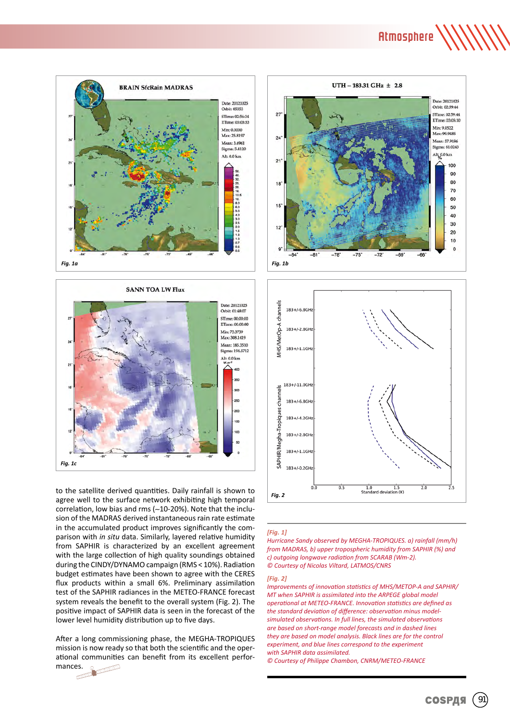Atmosphere





to the satellite derived quantities. Daily rainfall is shown to agree well to the surface network exhibiting high temporal correlation, low bias and rms (∼10-20%). Note that the inclusion of the MADRAS derived instantaneous rain rate estimate in the accumulated product improves significantly the comparison with *in situ* data. Similarly, layered relative humidity from SAPHIR is characterized by an excellent agreement with the large collection of high quality soundings obtained during the CINDY/DYNAMO campaign (RMS < 10%). Radiation budget estimates have been shown to agree with the CERES flux products within a small 6%. Preliminary assimilation test of the SAPHIR radiances in the METEO-FRANCE forecast system reveals the benefit to the overall system (Fig. 2). The positive impact of SAPHIR data is seen in the forecast of the lower level humidity distribution up to five days.

After a long commissioning phase, the MEGHA-TROPIQUES mission is now ready so that both the scientific and the operational communities can benefit from its excellent performances.  $\int_0^{\infty}$ 





#### *[Fig. 1]*

*Hurricane Sandy observed by MEGHA-TROPIQUES. a) rainfall (mm/h) from MADRAS, b) upper tropospheric humidity from SAPHIR (%) and c) outgoing longwave radiation from SCARAB (Wm-2). © Courtesy of Nicolas Viltard, LATMOS/CNRS*

#### *[Fig. 2]*

*Improvements of innovation statistics of MHS/METOP-A and SAPHIR/ MT when SAPHIR is assimilated into the ARPEGE global model operational at METEO-FRANCE. Innovation statistics are defined as the standard deviation of difference: observation minus modelsimulated observations. In full lines, the simulated observations are based on short-range model forecasts and in dashed lines they are based on model analysis. Black lines are for the control experiment, and blue lines correspond to the experiment with SAPHIR data assimilated.*

*© Courtesy of Philippe Chambon, CNRM/METEO-FRANCE*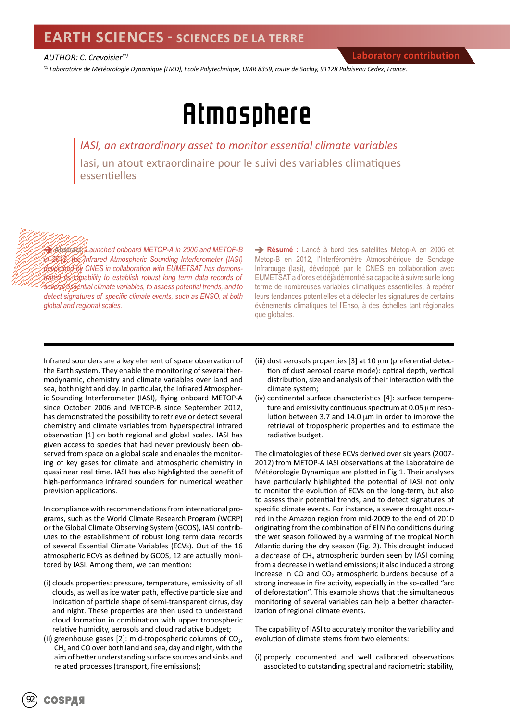### **EARTH SCIENCES - SCIENCES DE LA TERRE**

*AUTHOR: C. Crevoisier(1)*

*(1) Laboratoire de Météorologie Dynamique (LMD), Ecole Polytechnique, UMR 8359, route de Saclay, 91128 Palaiseau Cedex, France.*

## Atmosphere

*IASI, an extraordinary asset to monitor essential climate variables* Iasi, un atout extraordinaire pour le suivi des variables climatiques essentielles

**Abstract:** *Launched onboard METOP-A in 2006 and METOP-B in 2012, the Infrared Atmospheric Sounding Interferometer (IASI) developed by CNES in collaboration with EUMETSAT has demons*trated its capability to establish robust long term data records of *several essential climate variables, to assess potential trends, and to detect signatures of specific climate events, such as ENSO, at both global and regional scales.*

**Résumé :** Lancé à bord des satellites Metop-A en 2006 et Metop-B en 2012, l'Interféromètre Atmosphérique de Sondage Infrarouge (Iasi), développé par le CNES en collaboration avec EUMETSAT a d'ores et déjà démontré sa capacité à suivre sur le long terme de nombreuses variables climatiques essentielles, à repérer leurs tendances potentielles et à détecter les signatures de certains évènements climatiques tel l'Enso, à des échelles tant régionales que globales.

Infrared sounders are a key element of space observation of the Earth system. They enable the monitoring of several thermodynamic, chemistry and climate variables over land and sea, both night and day. In particular, the Infrared Atmospheric Sounding Interferometer (IASI), flying onboard METOP-A since October 2006 and METOP-B since September 2012, has demonstrated the possibility to retrieve or detect several chemistry and climate variables from hyperspectral infrared observation [1] on both regional and global scales. IASI has given access to species that had never previously been observed from space on a global scale and enables the monitoring of key gases for climate and atmospheric chemistry in quasi near real time. IASI has also highlighted the benefit of high-performance infrared sounders for numerical weather prevision applications.

In compliance with recommendations from international programs, such as the World Climate Research Program (WCRP) or the Global Climate Observing System (GCOS), IASI contributes to the establishment of robust long term data records of several Essential Climate Variables (ECVs). Out of the 16 atmospheric ECVs as defined by GCOS, 12 are actually monitored by IASI. Among them, we can mention:

- (i) clouds properties: pressure, temperature, emissivity of all clouds, as well as ice water path, effective particle size and indication of particle shape of semi-transparent cirrus, day and night. These properties are then used to understand cloud formation in combination with upper tropospheric relative humidity, aerosols and cloud radiative budget;
- (ii) greenhouse gases [2]: mid-tropospheric columns of  $CO<sub>2</sub>$ ,  $CH<sub>4</sub>$  and CO over both land and sea, day and night, with the aim of better understanding surface sources and sinks and related processes (transport, fire emissions);
- (iii) dust aerosols properties [3] at 10 μm (preferential detection of dust aerosol coarse mode): optical depth, vertical distribution, size and analysis of their interaction with the climate system;
- (iv) continental surface characteristics [4]: surface temperature and emissivity continuous spectrum at 0.05 µm resolution between 3.7 and 14.0 µm in order to improve the retrieval of tropospheric properties and to estimate the radiative budget.

The climatologies of these ECVs derived over six years (2007- 2012) from METOP-A IASI observations at the Laboratoire de Météorologie Dynamique are plotted in Fig.1. Their analyses have particularly highlighted the potential of IASI not only to monitor the evolution of ECVs on the long-term, but also to assess their potential trends, and to detect signatures of specific climate events. For instance, a severe drought occurred in the Amazon region from mid-2009 to the end of 2010 originating from the combination of El Niño conditions during the wet season followed by a warming of the tropical North Atlantic during the dry season (Fig. 2). This drought induced a decrease of  $CH<sub>A</sub>$  atmospheric burden seen by IASI coming from a decrease in wetland emissions; it also induced a strong increase in CO and  $CO<sub>2</sub>$  atmospheric burdens because of a strong increase in fire activity, especially in the so-called "arc of deforestation". This example shows that the simultaneous monitoring of several variables can help a better characterization of regional climate events.

The capability of IASI to accurately monitor the variability and evolution of climate stems from two elements:

(i) properly documented and well calibrated observations associated to outstanding spectral and radiometric stability,